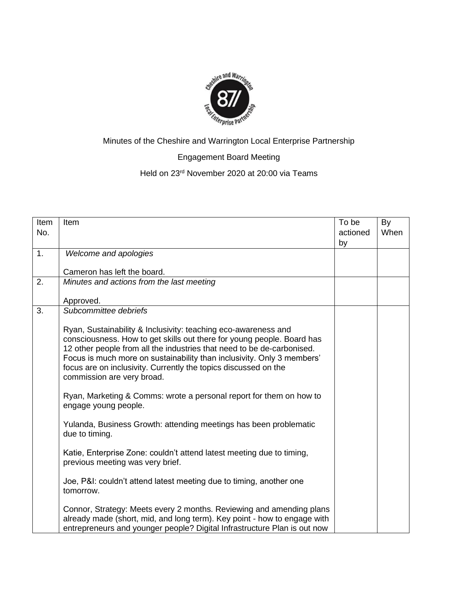

# Minutes of the Cheshire and Warrington Local Enterprise Partnership

# Engagement Board Meeting

# Held on 23rd November 2020 at 20:00 via Teams

| Item<br>No. | Item                                                                                                                                                                                                                                                                                                                                                                                          | To be<br>actioned<br>by | By<br>When |
|-------------|-----------------------------------------------------------------------------------------------------------------------------------------------------------------------------------------------------------------------------------------------------------------------------------------------------------------------------------------------------------------------------------------------|-------------------------|------------|
| 1.          | Welcome and apologies                                                                                                                                                                                                                                                                                                                                                                         |                         |            |
|             | Cameron has left the board.                                                                                                                                                                                                                                                                                                                                                                   |                         |            |
| 2.          | Minutes and actions from the last meeting                                                                                                                                                                                                                                                                                                                                                     |                         |            |
|             | Approved.                                                                                                                                                                                                                                                                                                                                                                                     |                         |            |
| 3.          | Subcommittee debriefs                                                                                                                                                                                                                                                                                                                                                                         |                         |            |
|             | Ryan, Sustainability & Inclusivity: teaching eco-awareness and<br>consciousness. How to get skills out there for young people. Board has<br>12 other people from all the industries that need to be de-carbonised.<br>Focus is much more on sustainability than inclusivity. Only 3 members'<br>focus are on inclusivity. Currently the topics discussed on the<br>commission are very broad. |                         |            |
|             | Ryan, Marketing & Comms: wrote a personal report for them on how to<br>engage young people.                                                                                                                                                                                                                                                                                                   |                         |            |
|             | Yulanda, Business Growth: attending meetings has been problematic<br>due to timing.                                                                                                                                                                                                                                                                                                           |                         |            |
|             | Katie, Enterprise Zone: couldn't attend latest meeting due to timing,<br>previous meeting was very brief.                                                                                                                                                                                                                                                                                     |                         |            |
|             | Joe, P&I: couldn't attend latest meeting due to timing, another one<br>tomorrow.                                                                                                                                                                                                                                                                                                              |                         |            |
|             | Connor, Strategy: Meets every 2 months. Reviewing and amending plans<br>already made (short, mid, and long term). Key point - how to engage with<br>entrepreneurs and younger people? Digital Infrastructure Plan is out now                                                                                                                                                                  |                         |            |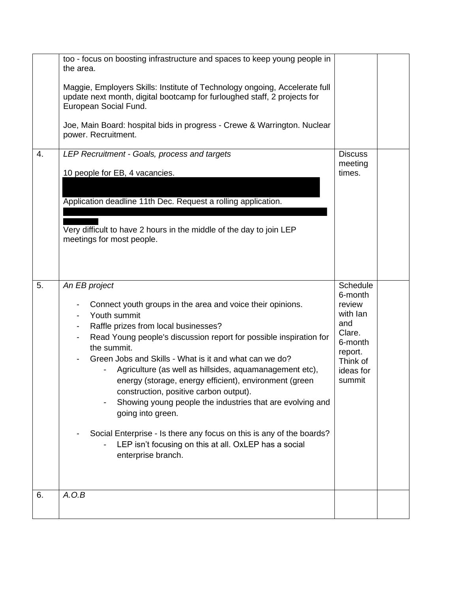|    | too - focus on boosting infrastructure and spaces to keep young people in<br>the area.<br>Maggie, Employers Skills: Institute of Technology ongoing, Accelerate full<br>update next month, digital bootcamp for furloughed staff, 2 projects for<br>European Social Fund.<br>Joe, Main Board: hospital bids in progress - Crewe & Warrington. Nuclear<br>power. Recruitment.                                                                                                                                                                                                                                                                                                                                                    |                                                                                                                     |  |
|----|---------------------------------------------------------------------------------------------------------------------------------------------------------------------------------------------------------------------------------------------------------------------------------------------------------------------------------------------------------------------------------------------------------------------------------------------------------------------------------------------------------------------------------------------------------------------------------------------------------------------------------------------------------------------------------------------------------------------------------|---------------------------------------------------------------------------------------------------------------------|--|
| 4. | LEP Recruitment - Goals, process and targets<br>10 people for EB, 4 vacancies.<br>Application deadline 11th Dec. Request a rolling application.<br>Very difficult to have 2 hours in the middle of the day to join LEP<br>meetings for most people.                                                                                                                                                                                                                                                                                                                                                                                                                                                                             | <b>Discuss</b><br>meeting<br>times.                                                                                 |  |
| 5. | An EB project<br>Connect youth groups in the area and voice their opinions.<br>Youth summit<br>Raffle prizes from local businesses?<br>-<br>Read Young people's discussion report for possible inspiration for<br>the summit.<br>Green Jobs and Skills - What is it and what can we do?<br>Agriculture (as well as hillsides, aquamanagement etc),<br>energy (storage, energy efficient), environment (green<br>construction, positive carbon output).<br>Showing young people the industries that are evolving and<br>$\qquad \qquad \blacksquare$<br>going into green.<br>Social Enterprise - Is there any focus on this is any of the boards?<br>LEP isn't focusing on this at all. OxLEP has a social<br>enterprise branch. | Schedule<br>6-month<br>review<br>with lan<br>and<br>Clare.<br>6-month<br>report.<br>Think of<br>ideas for<br>summit |  |
| 6. | A.O.B                                                                                                                                                                                                                                                                                                                                                                                                                                                                                                                                                                                                                                                                                                                           |                                                                                                                     |  |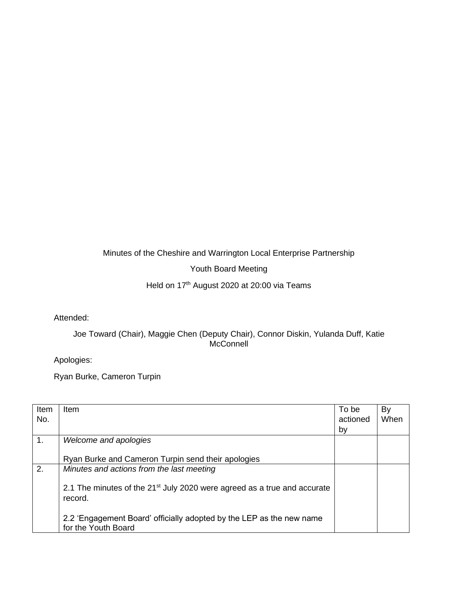### Minutes of the Cheshire and Warrington Local Enterprise Partnership

### Youth Board Meeting

# Held on 17<sup>th</sup> August 2020 at 20:00 via Teams

#### Attended:

### Joe Toward (Chair), Maggie Chen (Deputy Chair), Connor Diskin, Yulanda Duff, Katie **McConnell**

Apologies:

Ryan Burke, Cameron Turpin

| Item | Item                                                                                 | To be    | By   |
|------|--------------------------------------------------------------------------------------|----------|------|
| No.  |                                                                                      | actioned | When |
|      |                                                                                      | by       |      |
| 1.   | Welcome and apologies                                                                |          |      |
|      |                                                                                      |          |      |
|      | Ryan Burke and Cameron Turpin send their apologies                                   |          |      |
| 2.   | Minutes and actions from the last meeting                                            |          |      |
|      |                                                                                      |          |      |
|      | 2.1 The minutes of the 21 <sup>st</sup> July 2020 were agreed as a true and accurate |          |      |
|      | record.                                                                              |          |      |
|      |                                                                                      |          |      |
|      | 2.2 'Engagement Board' officially adopted by the LEP as the new name                 |          |      |
|      | for the Youth Board                                                                  |          |      |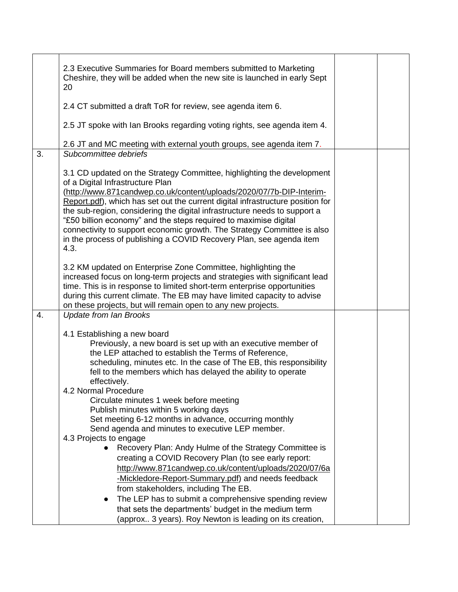|    | 2.3 Executive Summaries for Board members submitted to Marketing<br>Cheshire, they will be added when the new site is launched in early Sept<br>20                                                                                                                                                                                                                                                                                                                                                                                                                                                                                                                                                                                                                                                                                                                                    |  |
|----|---------------------------------------------------------------------------------------------------------------------------------------------------------------------------------------------------------------------------------------------------------------------------------------------------------------------------------------------------------------------------------------------------------------------------------------------------------------------------------------------------------------------------------------------------------------------------------------------------------------------------------------------------------------------------------------------------------------------------------------------------------------------------------------------------------------------------------------------------------------------------------------|--|
|    | 2.4 CT submitted a draft ToR for review, see agenda item 6.                                                                                                                                                                                                                                                                                                                                                                                                                                                                                                                                                                                                                                                                                                                                                                                                                           |  |
|    | 2.5 JT spoke with Ian Brooks regarding voting rights, see agenda item 4.                                                                                                                                                                                                                                                                                                                                                                                                                                                                                                                                                                                                                                                                                                                                                                                                              |  |
| 3. | 2.6 JT and MC meeting with external youth groups, see agenda item 7.<br>Subcommittee debriefs                                                                                                                                                                                                                                                                                                                                                                                                                                                                                                                                                                                                                                                                                                                                                                                         |  |
|    | 3.1 CD updated on the Strategy Committee, highlighting the development<br>of a Digital Infrastructure Plan<br>(http://www.871candwep.co.uk/content/uploads/2020/07/7b-DIP-Interim-<br>Report.pdf), which has set out the current digital infrastructure position for<br>the sub-region, considering the digital infrastructure needs to support a<br>"£50 billion economy" and the steps required to maximise digital<br>connectivity to support economic growth. The Strategy Committee is also<br>in the process of publishing a COVID Recovery Plan, see agenda item<br>4.3.<br>3.2 KM updated on Enterprise Zone Committee, highlighting the<br>increased focus on long-term projects and strategies with significant lead<br>time. This is in response to limited short-term enterprise opportunities<br>during this current climate. The EB may have limited capacity to advise |  |
| 4. | on these projects, but will remain open to any new projects.<br><b>Update from Ian Brooks</b>                                                                                                                                                                                                                                                                                                                                                                                                                                                                                                                                                                                                                                                                                                                                                                                         |  |
|    | 4.1 Establishing a new board<br>Previously, a new board is set up with an executive member of<br>the LEP attached to establish the Terms of Reference,<br>scheduling, minutes etc. In the case of The EB, this responsibility<br>fell to the members which has delayed the ability to operate<br>effectively.<br>4.2 Normal Procedure<br>Circulate minutes 1 week before meeting<br>Publish minutes within 5 working days<br>Set meeting 6-12 months in advance, occurring monthly<br>Send agenda and minutes to executive LEP member.<br>4.3 Projects to engage<br>Recovery Plan: Andy Hulme of the Strategy Committee is<br>creating a COVID Recovery Plan (to see early report:<br>http://www.871candwep.co.uk/content/uploads/2020/07/6a                                                                                                                                          |  |
|    | -Mickledore-Report-Summary.pdf) and needs feedback<br>from stakeholders, including The EB.<br>The LEP has to submit a comprehensive spending review<br>that sets the departments' budget in the medium term<br>(approx 3 years). Roy Newton is leading on its creation,                                                                                                                                                                                                                                                                                                                                                                                                                                                                                                                                                                                                               |  |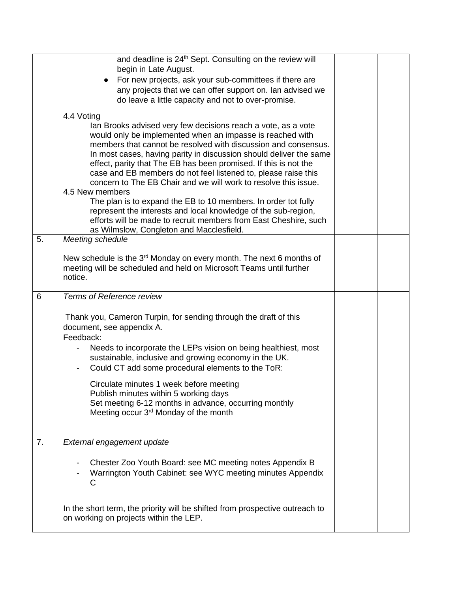|    | and deadline is 24 <sup>th</sup> Sept. Consulting on the review will                                                                 |  |
|----|--------------------------------------------------------------------------------------------------------------------------------------|--|
|    | begin in Late August.                                                                                                                |  |
|    | For new projects, ask your sub-committees if there are                                                                               |  |
|    | any projects that we can offer support on. Ian advised we                                                                            |  |
|    | do leave a little capacity and not to over-promise.                                                                                  |  |
|    | 4.4 Voting                                                                                                                           |  |
|    | lan Brooks advised very few decisions reach a vote, as a vote                                                                        |  |
|    | would only be implemented when an impasse is reached with                                                                            |  |
|    | members that cannot be resolved with discussion and consensus.<br>In most cases, having parity in discussion should deliver the same |  |
|    | effect, parity that The EB has been promised. If this is not the                                                                     |  |
|    | case and EB members do not feel listened to, please raise this                                                                       |  |
|    | concern to The EB Chair and we will work to resolve this issue.                                                                      |  |
|    | 4.5 New members                                                                                                                      |  |
|    | The plan is to expand the EB to 10 members. In order tot fully                                                                       |  |
|    | represent the interests and local knowledge of the sub-region,                                                                       |  |
|    | efforts will be made to recruit members from East Cheshire, such<br>as Wilmslow, Congleton and Macclesfield.                         |  |
| 5. | Meeting schedule                                                                                                                     |  |
|    |                                                                                                                                      |  |
|    | New schedule is the $3rd$ Monday on every month. The next 6 months of                                                                |  |
|    | meeting will be scheduled and held on Microsoft Teams until further                                                                  |  |
|    | notice.                                                                                                                              |  |
|    |                                                                                                                                      |  |
| 6  | Terms of Reference review                                                                                                            |  |
|    |                                                                                                                                      |  |
|    | Thank you, Cameron Turpin, for sending through the draft of this                                                                     |  |
|    | document, see appendix A.                                                                                                            |  |
|    | Feedback:                                                                                                                            |  |
|    | Needs to incorporate the LEPs vision on being healthiest, most                                                                       |  |
|    | sustainable, inclusive and growing economy in the UK.                                                                                |  |
|    | Could CT add some procedural elements to the ToR:                                                                                    |  |
|    | Circulate minutes 1 week before meeting                                                                                              |  |
|    | Publish minutes within 5 working days                                                                                                |  |
|    | Set meeting 6-12 months in advance, occurring monthly                                                                                |  |
|    | Meeting occur 3 <sup>rd</sup> Monday of the month                                                                                    |  |
|    |                                                                                                                                      |  |
| 7. | External engagement update                                                                                                           |  |
|    |                                                                                                                                      |  |
|    | Chester Zoo Youth Board: see MC meeting notes Appendix B                                                                             |  |
|    | Warrington Youth Cabinet: see WYC meeting minutes Appendix                                                                           |  |
|    | C                                                                                                                                    |  |
|    |                                                                                                                                      |  |
|    | In the short term, the priority will be shifted from prospective outreach to<br>on working on projects within the LEP.               |  |